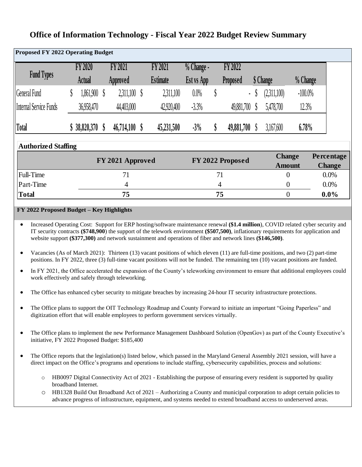| <b>Proposed FY 2022 Operating Budget</b> |        |                |                |                  |   |                 |                        |    |                  |                |                                |           |                             |
|------------------------------------------|--------|----------------|----------------|------------------|---|-----------------|------------------------|----|------------------|----------------|--------------------------------|-----------|-----------------------------|
|                                          |        | <b>FY 2020</b> |                | <b>FY 2021</b>   |   | <b>FY 2021</b>  | $\frac{1}{2}$ Change - |    | FY 2022          |                |                                |           |                             |
| <b>Fund Types</b>                        | Actual |                |                | Approved         |   | <b>Estimate</b> | <b>Est vs App</b>      |    | Proposed         |                | \$ Change                      | % Change  |                             |
| <b>General Fund</b>                      |        | 1,861,900 \$   |                | $2,311,100$ \$   |   | 2,311,100       | 0.0%                   | \$ | ÷.               |                | (2,311,100)                    | $-100.0%$ |                             |
| Internal Service Funds                   |        | 36,958,470     |                | 44,403,000       |   | 42,920,400      | $-3.3%$                |    | 49,881,700 \$    |                | 5,478,700                      | 12.3%     |                             |
| <b>Total</b>                             |        | 38,820,370 \$  |                | 46,714,100       | S | 45,231,500      | $-3%$                  | \$ | 49,881,700       |                | 3,167,600                      | 6.78%     |                             |
| <b>Authorized Staffing</b>               |        |                |                |                  |   |                 |                        |    |                  |                |                                |           |                             |
|                                          |        |                |                | FY 2021 Approved |   |                 |                        |    | FY 2022 Proposed |                | <b>Change</b><br><b>Amount</b> |           | Percentage<br><b>Change</b> |
| <b>Full-Time</b>                         |        |                |                | 71               |   |                 |                        |    | 71               |                | $\theta$                       |           | $0.0\%$                     |
| Part-Time                                |        |                | $\overline{4}$ |                  |   |                 | 4                      |    |                  |                | $\boldsymbol{0}$               |           | $0.0\%$                     |
| <b>Total</b>                             |        | 75             |                |                  |   |                 |                        | 75 |                  | $\overline{0}$ |                                | $0.0\%$   |                             |

# **Office of Information Technology - Fiscal Year 2022 Budget Review Summary**

#### **FY 2022 Proposed Budget – Key Highlights**

• Increased Operating Cost: Support for ERP hosting/software maintenance renewal **(\$1.4 million**), COVID related cyber security and IT security contracts **(\$748,900**) the support of the telework environment **(\$507,500)**, inflationary requirements for application and website support **(\$377,300)** and network sustainment and operations of fiber and network lines **(\$146,500)**.

- Vacancies (As of March 2021): Thirteen (13) vacant positions of which eleven (11) are full-time positions, and two (2) part-time positions. In FY 2022, three (3) full-time vacant positions will not be funded. The remaining ten (10) vacant positions are funded.
- In FY 2021, the Office accelerated the expansion of the County's teleworking environment to ensure that additional employees could work effectively and safely through teleworking.
- The Office has enhanced cyber security to mitigate breaches by increasing 24-hour IT security infrastructure protections.
- The Office plans to support the OIT Technology Roadmap and County Forward to initiate an important "Going Paperless" and digitization effort that will enable employees to perform government services virtually.
- The Office plans to implement the new Performance Management Dashboard Solution (OpenGov) as part of the County Executive's initiative, FY 2022 Proposed Budget: \$185,400
- The Office reports that the legislation(s) listed below, which passed in the Maryland General Assembly 2021 session, will have a direct impact on the Office's programs and operations to include staffing, cybersecurity capabilities, process and solutions:
	- o HB0097 Digital Connectivity Act of 2021 Establishing the purpose of ensuring every resident is supported by quality broadband Internet.
	- o HB1328 Build Out Broadband Act of 2021 Authorizing a County and municipal corporation to adopt certain policies to advance progress of infrastructure, equipment, and systems needed to extend broadband access to underserved areas.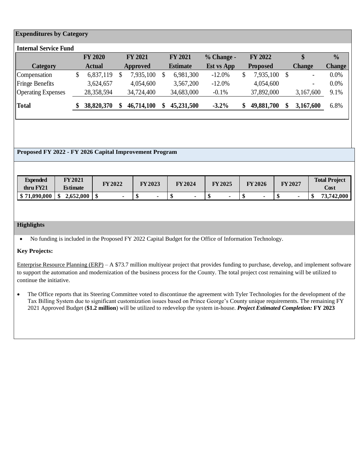|                                |                 |    |                   |                 |   |                |   |                | <b>Expenditures by Category</b> |
|--------------------------------|-----------------|----|-------------------|-----------------|---|----------------|---|----------------|---------------------------------|
|                                |                 |    |                   |                 |   |                |   |                | <b>Internal Service Fund</b>    |
| $\frac{0}{0}$<br>\$            | <b>FY 2022</b>  |    | $% Change -$      | <b>FY 2021</b>  |   | <b>FY 2021</b> |   | <b>FY 2020</b> |                                 |
| <b>Change</b><br><b>Change</b> | <b>Proposed</b> |    | <b>Est vs App</b> | <b>Estimate</b> |   | Approved       |   | <b>Actual</b>  | <b>Category</b>                 |
| 0.0%<br>-S<br>$\blacksquare$   | 7,935,100       | \$ | $-12.0%$          | 6,981,300       | S | 7,935,100      | S | 6,837,119      | \$<br>Compensation              |
| 0.0%<br>$\blacksquare$         | 4,054,600       |    | $-12.0%$          | 3,567,200       |   | 4,054,600      |   | 3,624,657      | <b>Fringe Benefits</b>          |
| 9.1%<br>3,167,600              | 37,892,000      |    | $-0.1%$           | 34,683,000      |   | 34,724,400     |   | 28,358,594     | <b>Operating Expenses</b>       |
| 6.8%<br>3,167,600              | 49,881,700      | S. | $-3.2\%$          | 45,231,500      |   | 46,714,100     |   | 38,820,370     | <b>Total</b>                    |
|                                |                 |    |                   |                 |   |                |   |                |                                 |

#### **Proposed FY 2022 - FY 2026 Capital Improvement Program**

| FY 2021<br><b>Expended</b><br><b>Total Project</b><br>FY 2023<br>FY 2025<br><b>FY2027</b><br><b>FY2022</b><br>FY 2024<br><b>FY2026</b><br>Cost<br>thru FY21<br><b>Estimate</b><br>\$71,090,000<br>2,652,000<br>$\sim$<br>$\blacksquare$<br>$\overline{\phantom{0}}$<br>$\blacksquare$ |  |  |  |  |  |  |  |            |
|---------------------------------------------------------------------------------------------------------------------------------------------------------------------------------------------------------------------------------------------------------------------------------------|--|--|--|--|--|--|--|------------|
|                                                                                                                                                                                                                                                                                       |  |  |  |  |  |  |  |            |
|                                                                                                                                                                                                                                                                                       |  |  |  |  |  |  |  | 73,742,000 |

#### **Highlights**

• No funding is included in the Proposed FY 2022 Capital Budget for the Office of Information Technology.

#### **Key Projects:**

Enterprise Resource Planning (ERP) – A \$73.7 million multiyear project that provides funding to purchase, develop, and implement software to support the automation and modernization of the business process for the County. The total project cost remaining will be utilized to continue the initiative.

• The Office reports that its Steering Committee voted to discontinue the agreement with Tyler Technologies for the development of the Tax Billing System due to significant customization issues based on Prince George's County unique requirements. The remaining FY 2021 Approved Budget (**\$1.2 million**) will be utilized to redevelop the system in-house. *Project Estimated Completion:* **FY 2023**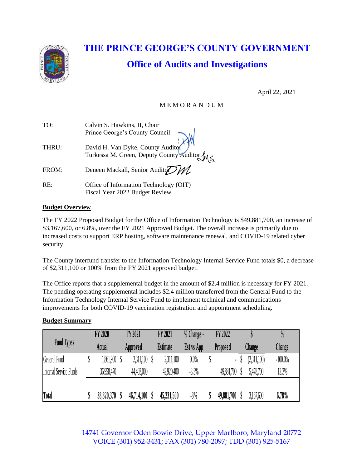

# **THE PRINCE GEORGE'S COUNTY GOVERNMENT Office of Audits and Investigations**

April 22, 2021

# M E M O R A N D U M

| Calvin S. Hawkins, II, Chair                                                    |
|---------------------------------------------------------------------------------|
| Prince George's County Council                                                  |
|                                                                                 |
|                                                                                 |
| David H. Van Dyke, County Auditor<br>Turkessa M. Green, Deputy County Auditor M |
| Deneen Mackall, Senior Auditory                                                 |
|                                                                                 |
| Office of Information Technology (OIT)<br>Fiscal Year 2022 Budget Review        |
|                                                                                 |

## **Budget Overview**

The FY 2022 Proposed Budget for the Office of Information Technology is \$49,881,700, an increase of \$3,167,600, or 6.8%, over the FY 2021 Approved Budget. The overall increase is primarily due to increased costs to support ERP hosting, software maintenance renewal, and COVID-19 related cyber security.

The County interfund transfer to the Information Technology Internal Service Fund totals \$0, a decrease of \$2,311,100 or 100% from the FY 2021 approved budget.

The Office reports that a supplemental budget in the amount of \$2.4 million is necessary for FY 2021. The pending operating supplemental includes \$2.4 million transferred from the General Fund to the Information Technology Internal Service Fund to implement technical and communications improvements for both COVID-19 vaccination registration and appointment scheduling.

## **Budget Summary**

| improvements for both COVID-19 vaccination registration and appointment scheduling. |                |                |                 |              |            |             |               |
|-------------------------------------------------------------------------------------|----------------|----------------|-----------------|--------------|------------|-------------|---------------|
| <b>Budget Summary</b>                                                               |                |                |                 |              |            |             |               |
|                                                                                     | <b>FY 2020</b> | <b>FY 2021</b> | <b>FY 2021</b>  | $% Change -$ | FY 2022    |             | $\frac{0}{0}$ |
| <b>Fund Types</b>                                                                   | Actual         | Approved       | <b>Estimate</b> | Est vs App   | Proposed   | Change      | Change        |
| General Fund                                                                        | 1,861,900      | 2,311,100      | 2,311,100       | $0.0\%$      | ٠          | (2,311,100) | $-100.0\%$    |
| <b>Internal Service Funds</b>                                                       | 36,958,470     | 44,403,000     | 42,920,400      | $-3.3%$      | 49,881,700 | 5,478,700   | 12.3%         |
|                                                                                     |                |                |                 |              |            |             |               |
| Total                                                                               | 38,820,370     | 46,714,100     | 45,231,500      | $-3%$        | 49,881,700 | 3,167,600   | 6.78%         |

14741 Governor Oden Bowie Drive, Upper Marlboro, Maryland 20772 VOICE (301) 952-3431; FAX (301) 780-2097; TDD (301) 925-5167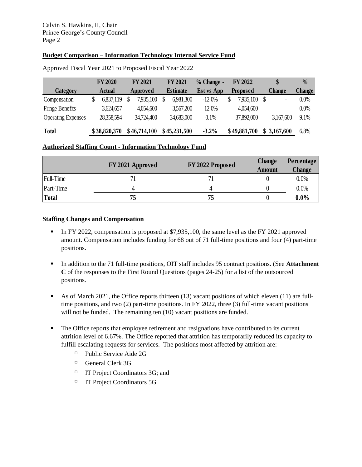### **Budget Comparison – Information Technology Internal Service Fund**

|                                                        | <b>Budget Comparison – Information Technology Internal Service Fund</b> |                |   |                |   |                 |  |                   |    |                 |    |                |               |
|--------------------------------------------------------|-------------------------------------------------------------------------|----------------|---|----------------|---|-----------------|--|-------------------|----|-----------------|----|----------------|---------------|
| Approved Fiscal Year 2021 to Proposed Fiscal Year 2022 |                                                                         |                |   |                |   |                 |  |                   |    |                 |    |                |               |
|                                                        |                                                                         | <b>FY 2020</b> |   | <b>FY 2021</b> |   | <b>FY 2021</b>  |  | $%$ Change -      |    | <b>FY 2022</b>  |    | \$             | $\frac{0}{0}$ |
| Category                                               |                                                                         | <b>Actual</b>  |   | Approved       |   | <b>Estimate</b> |  | <b>Est vs App</b> |    | <b>Proposed</b> |    | <b>Change</b>  | Change        |
| Compensation                                           | \$                                                                      | 6,837,119      | S | 7,935,100      | S | 6,981,300       |  | $-12.0%$          | \$ | 7,935,100       | -S | $\blacksquare$ | 0.0%          |
| Fringe Benefits                                        |                                                                         | 3,624,657      |   | 4,054,600      |   | 3,567,200       |  | $-12.0%$          |    | 4,054,600       |    | $\blacksquare$ | $0.0\%$       |
| <b>Operating Expenses</b>                              |                                                                         | 28,358,594     |   | 34,724,400     |   | 34,683,000      |  | $-0.1%$           |    | 37,892,000      |    | 3,167,600      | 9.1%          |
| <b>Total</b>                                           |                                                                         | \$38,820,370   |   | \$46,714,100   |   | \$45,231,500    |  | $-3.2%$           |    | \$49,881,700    |    | \$3,167,600    | 6.8%          |

#### **Authorized Staffing Count - Information Technology Fund**

|                  | FY 2021 Approved | FY 2022 Proposed | <b>Change</b> | Percentage    |
|------------------|------------------|------------------|---------------|---------------|
|                  |                  |                  | <b>Amount</b> | <b>Change</b> |
| <b>Full-Time</b> | 71               |                  |               | 0.0%          |
| Part-Time        | 4                |                  |               | 0.0%          |
| <b>Total</b>     | 75               | 75               |               | $0.0\%$       |
|                  |                  |                  |               |               |

#### **Staffing Changes and Compensation**

- **I.** In FY 2022, compensation is proposed at \$7,935,100, the same level as the FY 2021 approved amount. Compensation includes funding for 68 out of 71 full-time positions and four (4) part-time positions.
- In addition to the 71 full-time positions, OIT staff includes 95 contract positions. (See **Attachment C** of the responses to the First Round Questions (pages 24-25) for a list of the outsourced positions.
- As of March 2021, the Office reports thirteen (13) vacant positions of which eleven (11) are fulltime positions, and two (2) part-time positions. In FY 2022, three (3) full-time vacant positions will not be funded. The remaining ten  $(10)$  vacant positions are funded.
- **•** The Office reports that employee retirement and resignations have contributed to its current attrition level of 6.67%. The Office reported that attrition has temporarily reduced its capacity to fulfill escalating requests for services. The positions most affected by attrition are:
	- Public Service Aide 2G
	- <sup>D</sup> General Clerk 3G
	- IT Project Coordinators 3G; and
	- <sup>IT</sup> Project Coordinators 5G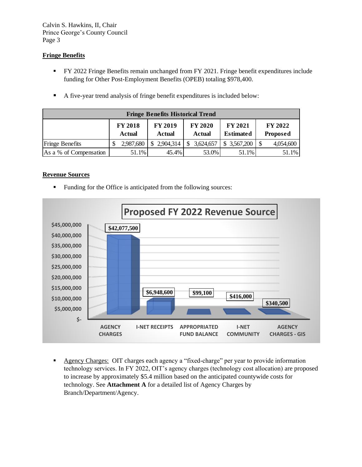#### **Fringe Benefits**

- **FY 2022 Fringe Benefits remain unchanged from FY 2021. Fringe benefit expenditures include** funding for Other Post-Employment Benefits (OPEB) totaling \$978,400.
- A five-year trend analysis of fringe benefit expenditures is included below:

|                        | <b>Fringe Benefits Historical Trend</b> |                          |                          |                             |                            |  |  |  |  |  |  |  |
|------------------------|-----------------------------------------|--------------------------|--------------------------|-----------------------------|----------------------------|--|--|--|--|--|--|--|
|                        | <b>FY 2018</b><br><b>Actual</b>         | <b>FY 2019</b><br>Actual | <b>FY 2020</b><br>Actual | FY 2021<br><b>Estimated</b> | <b>FY 2022</b><br>Proposed |  |  |  |  |  |  |  |
| <b>Fringe Benefits</b> | 2,987,680                               | \$2,904,314              | 3,624,657<br>\$          | 3,567,200                   | 4,054,600                  |  |  |  |  |  |  |  |
| As a % of Compensation | 51.1%                                   | 45.4%                    | 53.0%                    | 51.1%                       | 51.1%                      |  |  |  |  |  |  |  |

#### **Revenue Sources**

■ Funding for the Office is anticipated from the following sources:



▪ Agency Charges: OIT charges each agency a "fixed-charge" per year to provide information technology services. In FY 2022, OIT's agency charges (technology cost allocation) are proposed to increase by approximately \$5.4 million based on the anticipated countywide costs for technology. See **Attachment A** for a detailed list of Agency Charges by Branch/Department/Agency.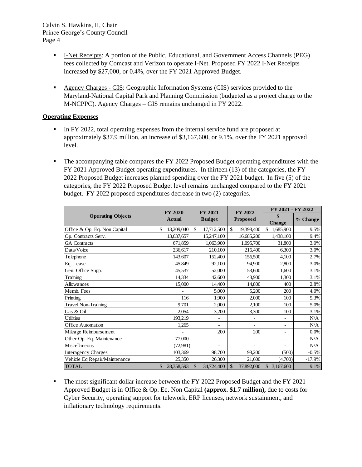- **EXECUTE:** I-Net Receipts: A portion of the Public, Educational, and Government Access Channels (PEG) fees collected by Comcast and Verizon to operate I-Net. Proposed FY 2022 I-Net Receipts increased by \$27,000, or 0.4%, over the FY 2021 Approved Budget.
- **Example 3** Agency Charges GIS: Geographic Information Systems (GIS) services provided to the Maryland-National Capital Park and Planning Commission (budgeted as a project charge to the M-NCPPC). Agency Charges – GIS remains unchanged in FY 2022.

#### **Operating Expenses**

- **I.** In FY 2022, total operating expenses from the internal service fund are proposed at approximately \$37.9 million, an increase of \$3,167,600, or 9.1%, over the FY 2021 approved level.
- **•** The accompanying table compares the FY 2022 Proposed Budget operating expenditures with the FY 2021 Approved Budget operating expenditures. In thirteen (13) of the categories, the FY 2022 Proposed Budget increases planned spending over the FY 2021 budget. In five (5) of the categories, the FY 2022 Proposed Budget level remains unchanged compared to the FY 2021 budget. FY 2022 proposed expenditures decrease in two (2) categories.

|                               | <b>FY 2020</b>   | <b>FY 2021</b>   | <b>FY 2022</b>              | FY 2021 - FY 2022        |          |  |  |
|-------------------------------|------------------|------------------|-----------------------------|--------------------------|----------|--|--|
| <b>Operating Objects</b>      | <b>Actual</b>    | <b>Budget</b>    | <b>Proposed</b>             | \$<br><b>Change</b>      | % Change |  |  |
| Office & Op. Eq. Non Capital  | 13,209,040<br>\$ | \$<br>17,712,500 | \$<br>19,398,400            | \$<br>1,685,900          | 9.5%     |  |  |
| Op. Contracts Serv.           | 13,637,657       | 15,247,100       | 16,685,200                  | 1,438,100                | 9.4%     |  |  |
| <b>GA</b> Contracts           | 671,859          | 1,063,900        | 1,095,700                   | 31,800                   | 3.0%     |  |  |
| Data/Voice                    | 236,617          | 210,100          | 216,400                     | 6.300                    | 3.0%     |  |  |
| Telephone                     | 143,607          | 152,400          | 156,500                     | 4,100                    | 2.7%     |  |  |
| Eq. Lease                     | 45,849           | 92,100           | 94,900                      | 2,800                    | 3.0%     |  |  |
| Gen. Office Supp.             | 45,537           | 52,000           | 53,600                      | 1,600                    | 3.1%     |  |  |
| Training                      | 14,334           | 42,600           | 43,900                      | 1,300                    | 3.1%     |  |  |
| Allowances                    | 15,000           | 14,400           | 14,800                      | 400                      | 2.8%     |  |  |
| Memb. Fees                    |                  | 5,000            | 5,200                       | 200                      | 4.0%     |  |  |
| Printing                      | 116              | 1,900            | 2,000                       | 100                      | 5.3%     |  |  |
| Travel Non-Training           | 9.701            | 2,000            | 2,100                       | 100                      | 5.0%     |  |  |
| Gas & Oil                     | 2,054            | 3,200            | 3,300                       | 100                      | 3.1%     |  |  |
| <b>Utilities</b>              | 193,219          | ÷,               |                             | $\overline{\phantom{0}}$ | N/A      |  |  |
| <b>Office Automation</b>      | 1,265            | $\blacksquare$   | $\overline{\phantom{0}}$    | $\overline{\phantom{a}}$ | N/A      |  |  |
| Mileage Reimbursement         |                  | 200              | 200                         | $\overline{\phantom{a}}$ | $0.0\%$  |  |  |
| Other Op. Eq. Maintenance     | 77,000           | ÷,               |                             | $\overline{\phantom{a}}$ | N/A      |  |  |
| Miscellaneous                 | (72,981)         |                  |                             |                          | N/A      |  |  |
| <b>Interagency Charges</b>    | 103,369          | 98,700           | 98,200                      | (500)                    | $-0.5%$  |  |  |
| Vehicle Eq Repair/Maintenance | 25,350           | 26,300           | 21,600                      | (4,700)                  | $-17.9%$ |  |  |
| <b>TOTAL</b>                  | 28,358,593<br>\$ | \$<br>34,724,400 | 37,892,000<br>$\mathcal{S}$ | \$3,167,600              | 9.1%     |  |  |

**•** The most significant dollar increase between the FY 2022 Proposed Budget and the FY 2021 Approved Budget is in Office & Op. Eq. Non Capital **(approx. \$1.7 million),** due to costs for Cyber Security, operating support for telework, ERP licenses, network sustainment, and inflationary technology requirements.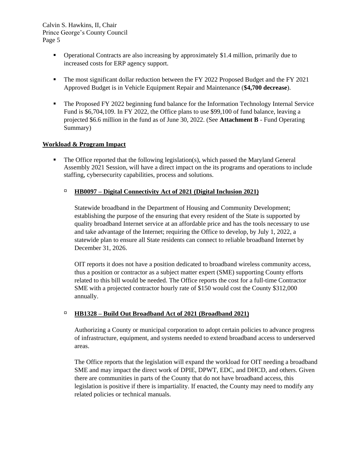- Operational Contracts are also increasing by approximately \$1.4 million, primarily due to increased costs for ERP agency support.
- **•** The most significant dollar reduction between the FY 2022 Proposed Budget and the FY 2021 Approved Budget is in Vehicle Equipment Repair and Maintenance (**\$4,700 decrease**).
- **The Proposed FY 2022 beginning fund balance for the Information Technology Internal Service** Fund is \$6,704,109. In FY 2022, the Office plans to use \$99,100 of fund balance, leaving a projected \$6.6 million in the fund as of June 30, 2022. (See **Attachment B** - Fund Operating Summary)

#### **Workload & Program Impact**

▪ The Office reported that the following legislation(s), which passed the Maryland General Assembly 2021 Session, will have a direct impact on the its programs and operations to include staffing, cybersecurity capabilities, process and solutions.

#### **HB0097 – Digital Connectivity Act of 2021 (Digital Inclusion 2021)**

Statewide broadband in the Department of Housing and Community Development; establishing the purpose of the ensuring that every resident of the State is supported by quality broadband Internet service at an affordable price and has the tools necessary to use and take advantage of the Internet; requiring the Office to develop, by July 1, 2022, a statewide plan to ensure all State residents can connect to reliable broadband Internet by December 31, 2026.

OIT reports it does not have a position dedicated to broadband wireless community access, thus a position or contractor as a subject matter expert (SME) supporting County efforts related to this bill would be needed. The Office reports the cost for a full-time Contractor SME with a projected contractor hourly rate of \$150 would cost the County \$312,000 annually.

#### **HB1328 – Build Out Broadband Act of 2021 (Broadband 2021)**

Authorizing a County or municipal corporation to adopt certain policies to advance progress of infrastructure, equipment, and systems needed to extend broadband access to underserved areas.

The Office reports that the legislation will expand the workload for OIT needing a broadband SME and may impact the direct work of DPIE, DPWT, EDC, and DHCD, and others. Given there are communities in parts of the County that do not have broadband access, this legislation is positive if there is impartiality. If enacted, the County may need to modify any related policies or technical manuals.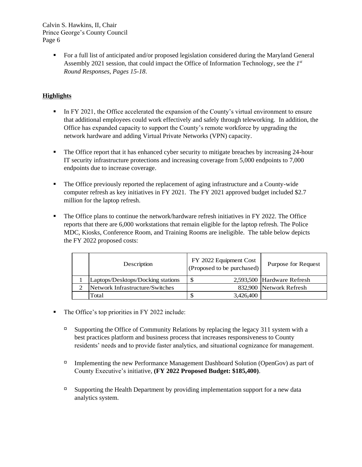> ■ For a full list of anticipated and/or proposed legislation considered during the Maryland General Assembly 2021 session, that could impact the Office of Information Technology, see the *1 st Round Responses, Pages 15-18*.

## **Highlights**

- **IF ILM** FY 2021, the Office accelerated the expansion of the County's virtual environment to ensure that additional employees could work effectively and safely through teleworking. In addition, the Office has expanded capacity to support the County's remote workforce by upgrading the network hardware and adding Virtual Private Networks (VPN) capacity.
- **•** The Office report that it has enhanced cyber security to mitigate breaches by increasing 24-hour IT security infrastructure protections and increasing coverage from 5,000 endpoints to 7,000 endpoints due to increase coverage.
- The Office previously reported the replacement of aging infrastructure and a County-wide computer refresh as key initiatives in FY 2021. The FY 2021 approved budget included \$2.7 million for the laptop refresh.
- **•** The Office plans to continue the network/hardware refresh initiatives in FY 2022. The Office reports that there are 6,000 workstations that remain eligible for the laptop refresh. The Police MDC, Kiosks, Conference Room, and Training Rooms are ineligible. The table below depicts the FY 2022 proposed costs:

| Description                       | FY 2022 Equipment Cost<br>(Proposed to be purchased) | Purpose for Request        |
|-----------------------------------|------------------------------------------------------|----------------------------|
| Laptops/Desktops/Docking stations |                                                      | 2,593,500 Hardware Refresh |
| Network Infrastructure/Switches   |                                                      | 832,900 Network Refresh    |
| Total                             | 3,426,400                                            |                            |

- The Office's top priorities in FY 2022 include:
	- $\Box$  Supporting the Office of Community Relations by replacing the legacy 311 system with a best practices platform and business process that increases responsiveness to County residents' needs and to provide faster analytics, and situational cognizance for management.
	- Implementing the new Performance Management Dashboard Solution (OpenGov) as part of County Executive's initiative, **(FY 2022 Proposed Budget: \$185,400)**.
	- $\Box$  Supporting the Health Department by providing implementation support for a new data analytics system.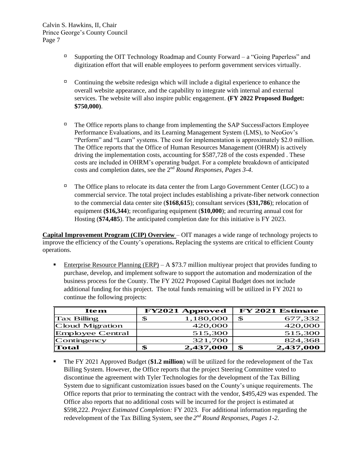- $\Box$  Supporting the OIT Technology Roadmap and County Forward a "Going Paperless" and digitization effort that will enable employees to perform government services virtually.
- Continuing the website redesign which will include a digital experience to enhance the overall website appearance, and the capability to integrate with internal and external services. The website will also inspire public engagement. **(FY 2022 Proposed Budget: \$750,000)**.
- $\Box$  The Office reports plans to change from implementing the SAP SuccessFactors Employee Performance Evaluations, and its Learning Management System (LMS), to NeoGov's "Perform" and "Learn" systems. The cost for implementation is approximately \$2.0 million. The Office reports that the Office of Human Resources Management (OHRM) is actively driving the implementation costs, accounting for \$587,728 of the costs expended . These costs are included in OHRM's operating budget. For a complete breakdown of anticipated costs and completion dates, see the 2nd *Round Responses, Pages 3-4*.
- $\Box$  The Office plans to relocate its data center the from Largo Government Center (LGC) to a commercial service. The total project includes establishing a private-fiber network connection to the commercial data center site (**\$168,615**); consultant services (**\$31,786**); relocation of equipment **(\$16,344**); reconfiguring equipment (**\$10,000**); and recurring annual cost for Hosting (**\$74,485**). The anticipated completion date for this initiative is FY 2023.

**Capital Improvement Program (CIP) Overview** – OIT manages a wide range of technology projects to improve the efficiency of the County's operations**.** Replacing the systems are critical to efficient County operations.

**Enterprise Resource Planning (ERP)** – A \$73.7 million multiyear project that provides funding to purchase, develop, and implement software to support the automation and modernization of the business process for the County. The FY 2022 Proposed Capital Budget does not include additional funding for this project. The total funds remaining will be utilized in FY 2021 to continue the following projects:

| <b>Item</b>        | <b>FY2021 Approved</b> | FY 2021 Estimate |
|--------------------|------------------------|------------------|
| <b>Tax Billing</b> | 1,180,000<br>S         | 677,332<br>£.    |
| Cloud Migration    | 420,000                | 420,000          |
| Employee Central   | 515,300                | 515,300          |
| Contingency        | 321,700                | 824,368          |
| Total              | 2,437,000<br>SS        | 2,437,000<br>\$  |

▪ The FY 2021 Approved Budget (**\$1.2 million**) will be utilized for the redevelopment of the Tax Billing System. However, the Office reports that the project Steering Committee voted to discontinue the agreement with Tyler Technologies for the development of the Tax Billing System due to significant customization issues based on the County's unique requirements. The Office reports that prior to terminating the contract with the vendor, \$495,429 was expended. The Office also reports that no additional costs will be incurred for the project is estimated at \$598,222. *Project Estimated Completion:* FY 2023. For additional information regarding the redevelopment of the Tax Billing System, see the *2 nd Round Responses, Pages 1-2*.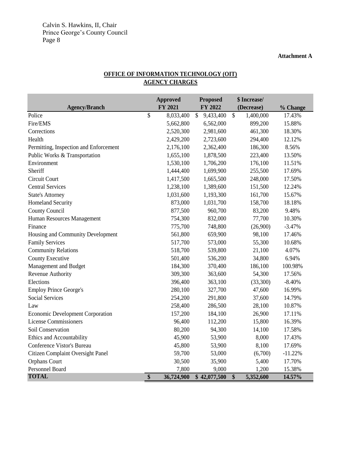#### **Attachment A**

# **OFFICE OF INFORMATION TECHNOLOGY (OIT) AGENCY CHARGES**

|                                         | <b>Approved</b>  |               | Proposed     |               | \$ Increase/ |           |
|-----------------------------------------|------------------|---------------|--------------|---------------|--------------|-----------|
| <b>Agency/Branch</b>                    | FY 2021          |               | FY 2022      |               | (Decrease)   | % Change  |
| Police                                  | \$<br>8,033,400  | $\mathcal{S}$ | 9,433,400    | $\mathcal{S}$ | 1,400,000    | 17.43%    |
| Fire/EMS                                | 5,662,800        |               | 6,562,000    |               | 899,200      | 15.88%    |
| Corrections                             | 2,520,300        |               | 2,981,600    |               | 461,300      | 18.30%    |
| Health                                  | 2,429,200        |               | 2,723,600    |               | 294,400      | 12.12%    |
| Permitting, Inspection and Enforcement  | 2,176,100        |               | 2,362,400    |               | 186,300      | 8.56%     |
| Public Works & Transportation           | 1,655,100        |               | 1,878,500    |               | 223,400      | 13.50%    |
| Environment                             | 1,530,100        |               | 1,706,200    |               | 176,100      | 11.51%    |
| Sheriff                                 | 1,444,400        |               | 1,699,900    |               | 255,500      | 17.69%    |
| Circuit Court                           | 1,417,500        |               | 1,665,500    |               | 248,000      | 17.50%    |
| <b>Central Services</b>                 | 1,238,100        |               | 1,389,600    |               | 151,500      | 12.24%    |
| <b>State's Attorney</b>                 | 1,031,600        |               | 1,193,300    |               | 161,700      | 15.67%    |
| <b>Homeland Security</b>                | 873,000          |               | 1,031,700    |               | 158,700      | 18.18%    |
| County Council                          | 877,500          |               | 960,700      |               | 83,200       | 9.48%     |
| Human Resources Management              | 754,300          |               | 832,000      |               | 77,700       | 10.30%    |
| Finance                                 | 775,700          |               | 748,800      |               | (26,900)     | $-3.47%$  |
| Housing and Community Development       | 561,800          |               | 659,900      |               | 98,100       | 17.46%    |
| <b>Family Services</b>                  | 517,700          |               | 573,000      |               | 55,300       | 10.68%    |
| <b>Community Relations</b>              | 518,700          |               | 539,800      |               | 21,100       | 4.07%     |
| County Executive                        | 501,400          |               | 536,200      |               | 34,800       | 6.94%     |
| Management and Budget                   | 184,300          |               | 370,400      |               | 186,100      | 100.98%   |
| Revenue Authority                       | 309,300          |               | 363,600      |               | 54,300       | 17.56%    |
| Elections                               | 396,400          |               | 363,100      |               | (33,300)     | $-8.40%$  |
| <b>Employ Prince George's</b>           | 280,100          |               | 327,700      |               | 47,600       | 16.99%    |
| <b>Social Services</b>                  | 254,200          |               | 291,800      |               | 37,600       | 14.79%    |
| Law                                     | 258,400          |               | 286,500      |               | 28,100       | 10.87%    |
| <b>Economic Development Corporation</b> | 157,200          |               | 184,100      |               | 26,900       | 17.11%    |
| <b>License Commissioners</b>            | 96,400           |               | 112,200      |               | 15,800       | 16.39%    |
| Soil Conservation                       | 80,200           |               | 94,300       |               | 14,100       | 17.58%    |
| Ethics and Accountability               | 45,900           |               | 53,900       |               | 8,000        | 17.43%    |
| Conference Vistor's Bureau              | 45,800           |               | 53,900       |               | 8,100        | 17.69%    |
| Citizen Complaint Oversight Panel       | 59,700           |               | 53,000       |               | (6,700)      | $-11.22%$ |
| Orphans Court                           | 30,500           |               | 35,900       |               | 5,400        | 17.70%    |
| Personnel Board                         | 7,800            |               | 9,000        |               | 1,200        | 15.38%    |
| <b>TOTAL</b>                            | \$<br>36,724,900 |               | \$42,077,500 | \$            | 5,352,600    | 14.57%    |